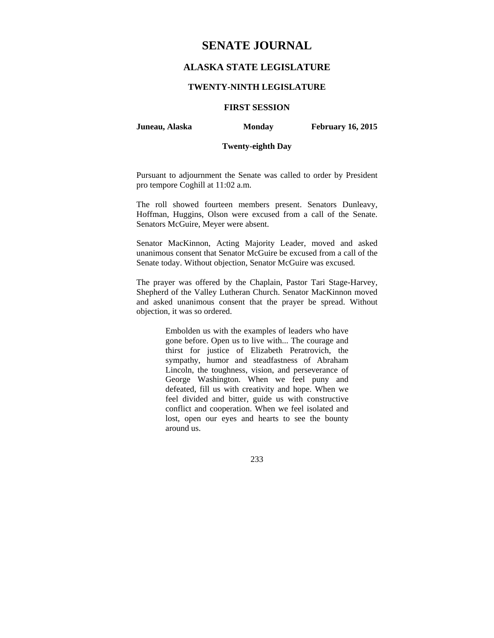# **SENATE JOURNAL**

# **ALASKA STATE LEGISLATURE**

### **TWENTY-NINTH LEGISLATURE**

### **FIRST SESSION**

**Juneau, Alaska Monday February 16, 2015** 

### **Twenty-eighth Day**

Pursuant to adjournment the Senate was called to order by President pro tempore Coghill at 11:02 a.m.

The roll showed fourteen members present. Senators Dunleavy, Hoffman, Huggins, Olson were excused from a call of the Senate. Senators McGuire, Meyer were absent.

Senator MacKinnon, Acting Majority Leader, moved and asked unanimous consent that Senator McGuire be excused from a call of the Senate today. Without objection, Senator McGuire was excused.

The prayer was offered by the Chaplain, Pastor Tari Stage-Harvey, Shepherd of the Valley Lutheran Church. Senator MacKinnon moved and asked unanimous consent that the prayer be spread. Without objection, it was so ordered.

> Embolden us with the examples of leaders who have gone before. Open us to live with... The courage and thirst for justice of Elizabeth Peratrovich, the sympathy, humor and steadfastness of Abraham Lincoln, the toughness, vision, and perseverance of George Washington. When we feel puny and defeated, fill us with creativity and hope. When we feel divided and bitter, guide us with constructive conflict and cooperation. When we feel isolated and lost, open our eyes and hearts to see the bounty around us.

> > 233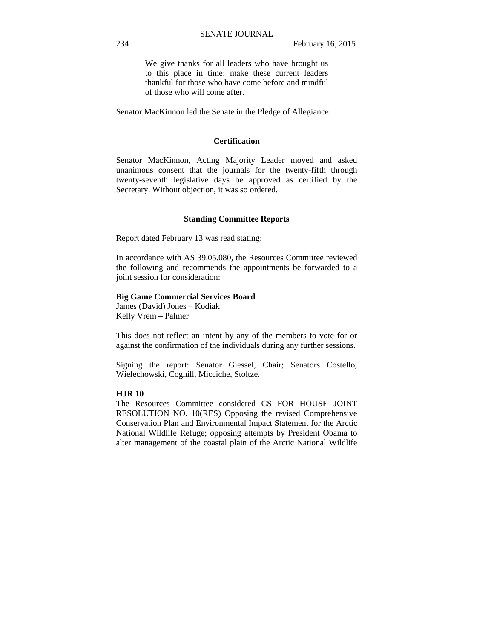We give thanks for all leaders who have brought us to this place in time; make these current leaders thankful for those who have come before and mindful of those who will come after.

Senator MacKinnon led the Senate in the Pledge of Allegiance.

#### **Certification**

Senator MacKinnon, Acting Majority Leader moved and asked unanimous consent that the journals for the twenty-fifth through twenty-seventh legislative days be approved as certified by the Secretary. Without objection, it was so ordered.

#### **Standing Committee Reports**

Report dated February 13 was read stating:

In accordance with AS 39.05.080, the Resources Committee reviewed the following and recommends the appointments be forwarded to a joint session for consideration:

#### **Big Game Commercial Services Board**

James (David) Jones – Kodiak Kelly Vrem – Palmer

This does not reflect an intent by any of the members to vote for or against the confirmation of the individuals during any further sessions.

Signing the report: Senator Giessel, Chair; Senators Costello, Wielechowski, Coghill, Micciche, Stoltze.

### **HJR 10**

The Resources Committee considered CS FOR HOUSE JOINT RESOLUTION NO. 10(RES) Opposing the revised Comprehensive Conservation Plan and Environmental Impact Statement for the Arctic National Wildlife Refuge; opposing attempts by President Obama to alter management of the coastal plain of the Arctic National Wildlife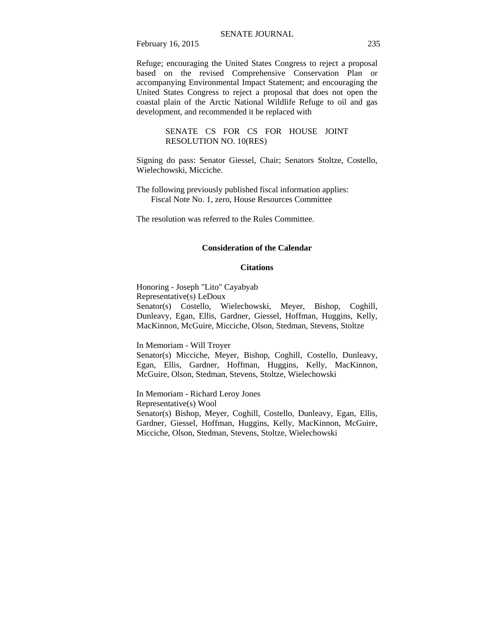February 16, 2015 235

Refuge; encouraging the United States Congress to reject a proposal based on the revised Comprehensive Conservation Plan or accompanying Environmental Impact Statement; and encouraging the United States Congress to reject a proposal that does not open the coastal plain of the Arctic National Wildlife Refuge to oil and gas development, and recommended it be replaced with

> SENATE CS FOR CS FOR HOUSE JOINT RESOLUTION NO. 10(RES)

Signing do pass: Senator Giessel, Chair; Senators Stoltze, Costello, Wielechowski, Micciche.

The following previously published fiscal information applies: Fiscal Note No. 1, zero, House Resources Committee

The resolution was referred to the Rules Committee.

### **Consideration of the Calendar**

#### **Citations**

Honoring - Joseph "Lito" Cayabyab Representative(s) LeDoux Senator(s) Costello, Wielechowski, Meyer, Bishop, Coghill, Dunleavy, Egan, Ellis, Gardner, Giessel, Hoffman, Huggins, Kelly, MacKinnon, McGuire, Micciche, Olson, Stedman, Stevens, Stoltze

In Memoriam - Will Troyer

Senator(s) Micciche, Meyer, Bishop, Coghill, Costello, Dunleavy, Egan, Ellis, Gardner, Hoffman, Huggins, Kelly, MacKinnon, McGuire, Olson, Stedman, Stevens, Stoltze, Wielechowski

In Memoriam - Richard Leroy Jones Representative(s) Wool Senator(s) Bishop, Meyer, Coghill, Costello, Dunleavy, Egan, Ellis, Gardner, Giessel, Hoffman, Huggins, Kelly, MacKinnon, McGuire, Micciche, Olson, Stedman, Stevens, Stoltze, Wielechowski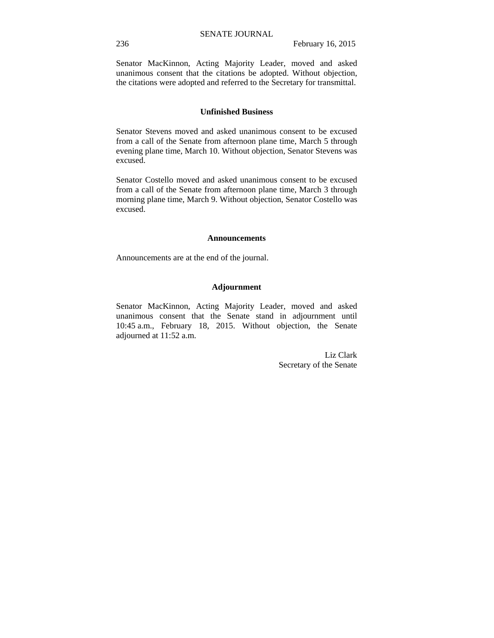Senator MacKinnon, Acting Majority Leader, moved and asked unanimous consent that the citations be adopted. Without objection, the citations were adopted and referred to the Secretary for transmittal.

### **Unfinished Business**

Senator Stevens moved and asked unanimous consent to be excused from a call of the Senate from afternoon plane time, March 5 through evening plane time, March 10. Without objection, Senator Stevens was excused.

Senator Costello moved and asked unanimous consent to be excused from a call of the Senate from afternoon plane time, March 3 through morning plane time, March 9. Without objection, Senator Costello was excused.

#### **Announcements**

Announcements are at the end of the journal.

### **Adjournment**

Senator MacKinnon, Acting Majority Leader, moved and asked unanimous consent that the Senate stand in adjournment until 10:45 a.m., February 18, 2015. Without objection, the Senate adjourned at 11:52 a.m.

> Liz Clark Secretary of the Senate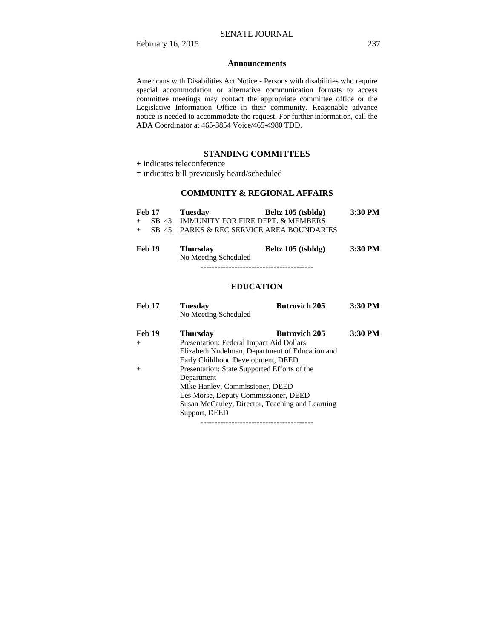#### **Announcements**

Americans with Disabilities Act Notice - Persons with disabilities who require special accommodation or alternative communication formats to access committee meetings may contact the appropriate committee office or the Legislative Information Office in their community. Reasonable advance notice is needed to accommodate the request. For further information, call the ADA Coordinator at 465-3854 Voice/465-4980 TDD.

### **STANDING COMMITTEES**

+ indicates teleconference

= indicates bill previously heard/scheduled

# **COMMUNITY & REGIONAL AFFAIRS**

| Feb 17                                                                                                   | Tuesday      | Beltz 105 (tsbldg)                                                                                                      | $3:30$ PM        |
|----------------------------------------------------------------------------------------------------------|--------------|-------------------------------------------------------------------------------------------------------------------------|------------------|
|                                                                                                          |              | + SB 43 IMMUNITY FOR FIRE DEPT. & MEMBERS                                                                               |                  |
|                                                                                                          |              | + SB 45 PARKS & REC SERVICE AREA BOUNDARIES                                                                             |                  |
| $\blacksquare$ $\blacksquare$ $\blacksquare$ $\blacksquare$ $\blacksquare$ $\blacksquare$ $\blacksquare$ | $\mathbf{m}$ | $\mathbf{D}$ 14 $\mathbf{A}$ $\mathbf{A}$ $\mathbf{B}$ $\mathbf{A}$ $\mathbf{I}$ $\mathbf{I}$ $\mathbf{I}$ $\mathbf{A}$ | $2.20$ DJ $\ell$ |

| <b>Feb 19</b> | <b>Thursday</b>      | Beltz 105 (tsbldg) | 3:30 PM |
|---------------|----------------------|--------------------|---------|
|               | No Meeting Scheduled |                    |         |

----------------------------------------

### **EDUCATION**

| <b>Feb 17</b> | <b>Tuesday</b><br>No Meeting Scheduled          | <b>Butrovich 205</b> | 3:30 PM |
|---------------|-------------------------------------------------|----------------------|---------|
|               |                                                 |                      |         |
| <b>Feb 19</b> | <b>Thursday</b>                                 | <b>Butrovich 205</b> | 3:30 PM |
| $^{+}$        | Presentation: Federal Impact Aid Dollars        |                      |         |
|               | Elizabeth Nudelman, Department of Education and |                      |         |
|               | Early Childhood Development, DEED               |                      |         |
| $^{+}$        | Presentation: State Supported Efforts of the    |                      |         |
|               | Department                                      |                      |         |
|               | Mike Hanley, Commissioner, DEED                 |                      |         |
|               | Les Morse, Deputy Commissioner, DEED            |                      |         |
|               | Susan McCauley, Director, Teaching and Learning |                      |         |
|               | Support, DEED                                   |                      |         |
|               |                                                 |                      |         |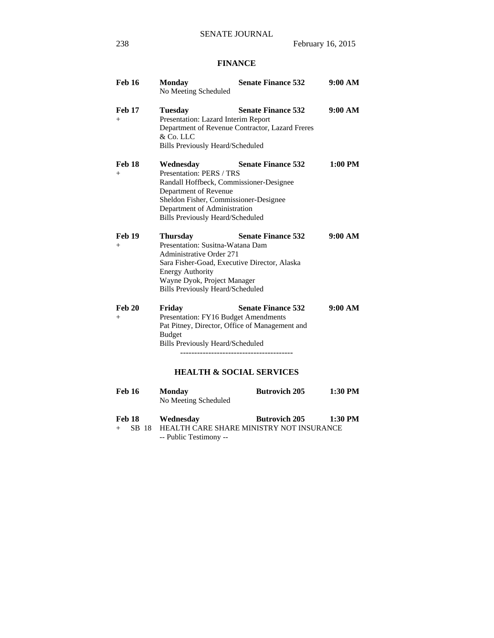# **FINANCE**

| <b>Feb 16</b>        | <b>Monday</b><br>No Meeting Scheduled                                                                                                                                                                                                       | <b>Senate Finance 532</b>                                                    | 9:00 AM   |
|----------------------|---------------------------------------------------------------------------------------------------------------------------------------------------------------------------------------------------------------------------------------------|------------------------------------------------------------------------------|-----------|
| <b>Feb 17</b><br>$+$ | <b>Tuesday</b><br>Presentation: Lazard Interim Report<br>& Co. LLC<br><b>Bills Previously Heard/Scheduled</b>                                                                                                                               | <b>Senate Finance 532</b><br>Department of Revenue Contractor, Lazard Freres | 9:00 AM   |
| <b>Feb 18</b><br>$+$ | Wednesday<br>Presentation: PERS / TRS<br>Randall Hoffbeck, Commissioner-Designee<br>Department of Revenue<br>Sheldon Fisher, Commissioner-Designee<br>Department of Administration<br><b>Bills Previously Heard/Scheduled</b>               | <b>Senate Finance 532</b>                                                    | $1:00$ PM |
| <b>Feb 19</b><br>$+$ | <b>Thursday</b><br>Presentation: Susitna-Watana Dam<br><b>Administrative Order 271</b><br>Sara Fisher-Goad, Executive Director, Alaska<br><b>Energy Authority</b><br>Wayne Dyok, Project Manager<br><b>Bills Previously Heard/Scheduled</b> | <b>Senate Finance 532</b>                                                    | 9:00 AM   |
| <b>Feb 20</b><br>$+$ | Friday<br>Presentation: FY16 Budget Amendments<br>Pat Pitney, Director, Office of Management and<br><b>Budget</b><br>Bills Previously Heard/Scheduled                                                                                       | <b>Senate Finance 532</b><br><b>HEALTH &amp; SOCIAL SERVICES</b>             | 9:00 AM   |
| <b>Feb 16</b>        | <b>Monday</b><br>No Meeting Scheduled                                                                                                                                                                                                       | <b>Butrovich 205</b>                                                         | 1:30 PM   |
| Feb 18               | Wednesday                                                                                                                                                                                                                                   | <b>Butrovich 205</b>                                                         | 1:30 PM   |

+ SB 18 HEALTH CARE SHARE MINISTRY NOT INSURANCE -- Public Testimony --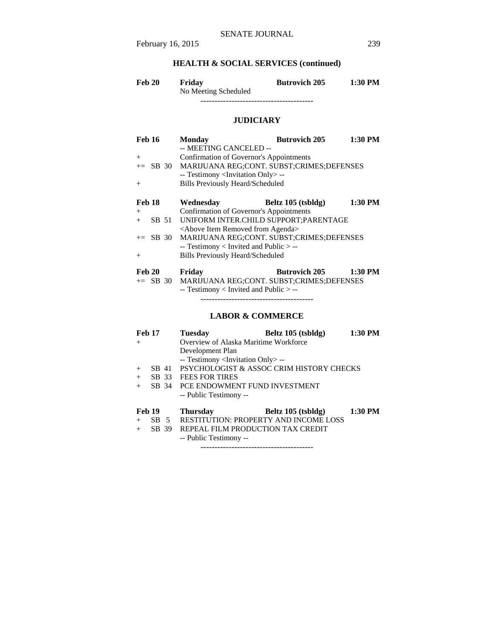# **HEALTH & SOCIAL SERVICES (continued)**

| <b>Feb 20</b> | Friday               | <b>Butrovich 205</b> | 1:30 PM |
|---------------|----------------------|----------------------|---------|
|               | No Meeting Scheduled |                      |         |

----------------------------------------

# **JUDICIARY**

| <b>Feb 16</b> | <b>Monday</b>                                        | <b>Butrovich 205</b> | 1:30 PM |
|---------------|------------------------------------------------------|----------------------|---------|
|               | -- MEETING CANCELED --                               |                      |         |
| $+$           | Confirmation of Governor's Appointments              |                      |         |
| $\pm$ SB 30   | MARIJUANA REG;CONT. SUBST;CRIMES;DEFENSES            |                      |         |
|               | -- Testimony <invitation only=""> --</invitation>    |                      |         |
| $^{+}$        | <b>Bills Previously Heard/Scheduled</b>              |                      |         |
|               |                                                      |                      |         |
| Feb 18        | Wednesdav                                            | Beltz 105 (tsbldg)   | 1:30 PM |
| $+$           | Confirmation of Governor's Appointments              |                      |         |
| SB 51<br>$+$  | UNIFORM INTER.CHILD SUPPORT: PARENTAGE               |                      |         |
|               | <above agenda="" from="" item="" removed=""></above> |                      |         |
| $+=$ SB 30    | MARIJUANA REG;CONT. SUBST;CRIMES;DEFENSES            |                      |         |
|               | $-$ Testimony < Invited and Public $>$ $-$           |                      |         |
| $^{+}$        | <b>Bills Previously Heard/Scheduled</b>              |                      |         |
|               |                                                      |                      |         |
| Feb 20        | Friday                                               | <b>Butrovich 205</b> | 1:30 PM |
|               | += SB 30 MARIJUANA REG;CONT. SUBST;CRIMES;DEFENSES   |                      |         |
|               | $-$ Testimony < Invited and Public $>$ $-$           |                      |         |

----------------------------------------

# **LABOR & COMMERCE**

| <b>Feb 17</b> |                 |       | <b>Tuesday</b>                                    | Beltz 105 (tsbldg)                       | 1:30 PM |
|---------------|-----------------|-------|---------------------------------------------------|------------------------------------------|---------|
| $+$           |                 |       | Overview of Alaska Maritime Workforce             |                                          |         |
|               |                 |       | Development Plan                                  |                                          |         |
|               |                 |       | -- Testimony <invitation only=""> --</invitation> |                                          |         |
| $+$           |                 | SB 41 |                                                   | PSYCHOLOGIST & ASSOC CRIM HISTORY CHECKS |         |
| $+$           | SB 33           |       | <b>FEES FOR TIRES</b>                             |                                          |         |
| $+$           | SB 34           |       | PCE ENDOWMENT FUND INVESTMENT                     |                                          |         |
|               |                 |       | -- Public Testimony --                            |                                          |         |
| <b>Feb 19</b> |                 |       | <b>Thursday</b>                                   | Beltz 105 (tsbldg)                       | 1:30 PM |
| $+$           | SB <sub>5</sub> |       | <b>RESTITUTION: PROPERTY AND INCOME LOSS</b>      |                                          |         |
| $+$           | SB 39           |       | REPEAL FILM PRODUCTION TAX CREDIT                 |                                          |         |
|               |                 |       | -- Public Testimony --                            |                                          |         |

----------------------------------------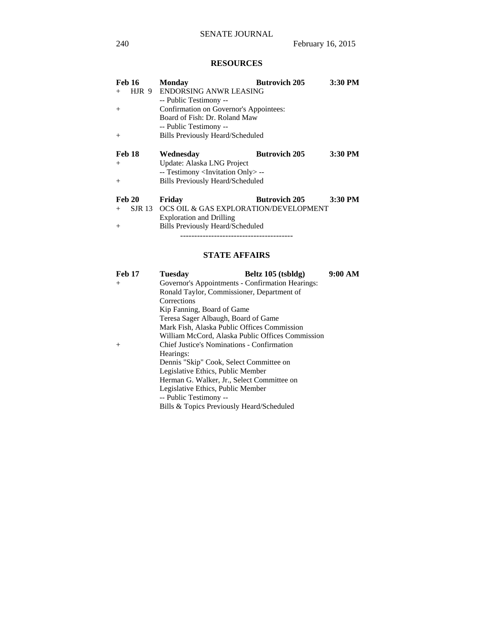# **RESOURCES**

| <b>Feb 16</b> | <b>Monday</b>                                     | <b>Butrovich 205</b> | 3:30 PM |
|---------------|---------------------------------------------------|----------------------|---------|
| HJR 9<br>$+$  | ENDORSING ANWR LEASING                            |                      |         |
|               | -- Public Testimony --                            |                      |         |
| $+$           | Confirmation on Governor's Appointees:            |                      |         |
|               | Board of Fish: Dr. Roland Maw                     |                      |         |
|               | -- Public Testimony --                            |                      |         |
| $^{+}$        | <b>Bills Previously Heard/Scheduled</b>           |                      |         |
| <b>Feb 18</b> |                                                   | <b>Butrovich 205</b> | 3:30 PM |
|               | Wednesday                                         |                      |         |
| $^{+}$        | Update: Alaska LNG Project                        |                      |         |
|               | -- Testimony <invitation only=""> --</invitation> |                      |         |
| $^{+}$        | <b>Bills Previously Heard/Scheduled</b>           |                      |         |
| <b>Feb 20</b> | Friday                                            | <b>Butrovich 205</b> | 3:30 PM |
| SJR 13<br>$+$ | OCS OIL & GAS EXPLORATION/DEVELOPMENT             |                      |         |
|               | <b>Exploration and Drilling</b>                   |                      |         |
| $^{+}$        | <b>Bills Previously Heard/Scheduled</b>           |                      |         |
|               | --------------------------------------            |                      |         |

# **STATE AFFAIRS**

| <b>Feb 17</b> | Tuesday                                          | Beltz 105 (tsbldg)                               | 9:00 AM |
|---------------|--------------------------------------------------|--------------------------------------------------|---------|
| $^{+}$        | Governor's Appointments - Confirmation Hearings: |                                                  |         |
|               | Ronald Taylor, Commissioner, Department of       |                                                  |         |
|               | Corrections                                      |                                                  |         |
|               | Kip Fanning, Board of Game                       |                                                  |         |
|               | Teresa Sager Albaugh, Board of Game              |                                                  |         |
|               | Mark Fish, Alaska Public Offices Commission      |                                                  |         |
|               |                                                  | William McCord, Alaska Public Offices Commission |         |
| $^{+}$        | Chief Justice's Nominations - Confirmation       |                                                  |         |
|               | Hearings:                                        |                                                  |         |
|               | Dennis "Skip" Cook, Select Committee on          |                                                  |         |
|               | Legislative Ethics, Public Member                |                                                  |         |
|               | Herman G. Walker, Jr., Select Committee on       |                                                  |         |
|               | Legislative Ethics, Public Member                |                                                  |         |
|               | -- Public Testimony --                           |                                                  |         |
|               | Bills & Topics Previously Heard/Scheduled        |                                                  |         |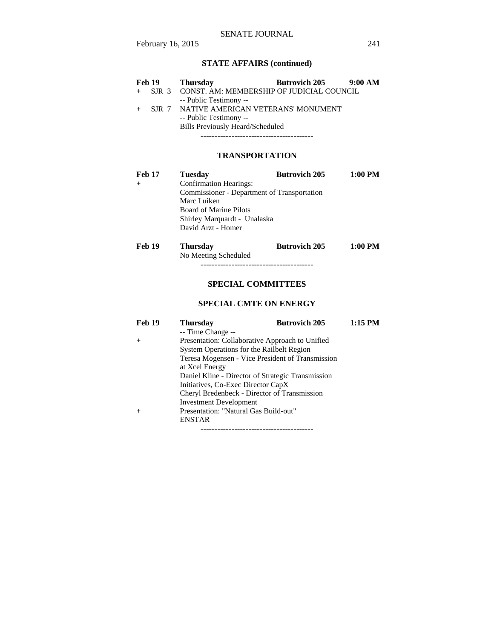### SENATE JOURNAL

# **STATE AFFAIRS (continued)**

|     | <b>Feb 19</b> | Thursdav                                          | <b>Butrovich 205</b> | $9:00 \text{ AM}$ |
|-----|---------------|---------------------------------------------------|----------------------|-------------------|
|     |               | + SJR 3 CONST. AM: MEMBERSHIP OF JUDICIAL COUNCIL |                      |                   |
|     |               | -- Public Testimony --                            |                      |                   |
| $+$ |               | SJR 7 NATIVE AMERICAN VETERANS' MONUMENT          |                      |                   |
|     |               | -- Public Testimony --                            |                      |                   |
|     |               | <b>Bills Previously Heard/Scheduled</b>           |                      |                   |
|     |               |                                                   |                      |                   |

# **TRANSPORTATION**

| <b>Feb 17</b> | <b>Tuesday</b>                              | <b>Butrovich 205</b> | 1:00 PM   |  |
|---------------|---------------------------------------------|----------------------|-----------|--|
| $^{+}$        | <b>Confirmation Hearings:</b>               |                      |           |  |
|               | Commissioner - Department of Transportation |                      |           |  |
|               | Marc Luiken                                 |                      |           |  |
|               | <b>Board of Marine Pilots</b>               |                      |           |  |
|               | Shirley Marquardt - Unalaska                |                      |           |  |
|               | David Arzt - Homer                          |                      |           |  |
| <b>Feb 19</b> | <b>Thursday</b>                             | <b>Butrovich 205</b> | $1:00$ PM |  |
|               | No Meeting Scheduled                        |                      |           |  |

# ----------------------------------------

# **SPECIAL COMMITTEES**

## **SPECIAL CMTE ON ENERGY**

| <b>Feb 19</b> | <b>Thursday</b>                                   | <b>Butrovich 205</b> | $1:15$ PM |
|---------------|---------------------------------------------------|----------------------|-----------|
|               | -- Time Change --                                 |                      |           |
| $^{+}$        | Presentation: Collaborative Approach to Unified   |                      |           |
|               | System Operations for the Railbelt Region         |                      |           |
|               | Teresa Mogensen - Vice President of Transmission  |                      |           |
|               | at Xcel Energy                                    |                      |           |
|               | Daniel Kline - Director of Strategic Transmission |                      |           |
|               | Initiatives, Co-Exec Director CapX                |                      |           |
|               | Cheryl Bredenbeck - Director of Transmission      |                      |           |
|               | <b>Investment Development</b>                     |                      |           |
| $^{+}$        | Presentation: "Natural Gas Build-out"             |                      |           |
|               | <b>ENSTAR</b>                                     |                      |           |
|               | -------------------------------------             |                      |           |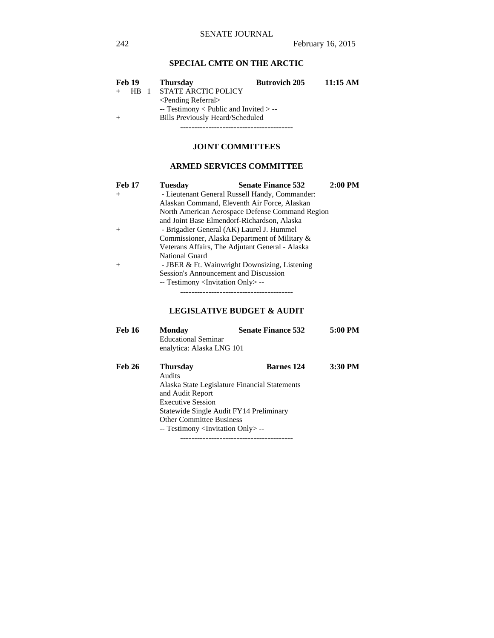# **SPECIAL CMTE ON THE ARCTIC**

| <b>Feb 19</b> |                 |  | <b>Thursday</b>                          | <b>Butrovich 205</b> | 11:15 AM |
|---------------|-----------------|--|------------------------------------------|----------------------|----------|
|               | HR <sub>1</sub> |  | <b>STATE ARCTIC POLICY</b>               |                      |          |
|               |                 |  | $\le$ Pending Referral $>$               |                      |          |
|               |                 |  | $-$ Testimony < Public and Invited > $-$ |                      |          |
|               |                 |  | Bills Previously Heard/Scheduled         |                      |          |
|               |                 |  |                                          |                      |          |

### **JOINT COMMITTEES**

# **ARMED SERVICES COMMITTEE**

| <b>Feb 17</b> | <b>Tuesday</b>                                    | <b>Senate Finance 532</b>                       | $2:00$ PM |  |
|---------------|---------------------------------------------------|-------------------------------------------------|-----------|--|
| $+$           | - Lieutenant General Russell Handy, Commander:    |                                                 |           |  |
|               |                                                   | Alaskan Command, Eleventh Air Force, Alaskan    |           |  |
|               |                                                   | North American Aerospace Defense Command Region |           |  |
|               | and Joint Base Elmendorf-Richardson, Alaska       |                                                 |           |  |
| $+$           | - Brigadier General (AK) Laurel J. Hummel         |                                                 |           |  |
|               |                                                   | Commissioner, Alaska Department of Military &   |           |  |
|               |                                                   | Veterans Affairs, The Adjutant General - Alaska |           |  |
|               | <b>National Guard</b>                             |                                                 |           |  |
| $^{+}$        |                                                   | - JBER & Ft. Wainwright Downsizing, Listening   |           |  |
|               | Session's Announcement and Discussion             |                                                 |           |  |
|               | -- Testimony <invitation only=""> --</invitation> |                                                 |           |  |
|               |                                                   |                                                 |           |  |

# **LEGISLATIVE BUDGET & AUDIT**

| <b>Feb 16</b> | <b>Monday</b>                                           | <b>Senate Finance 532</b> | 5:00 PM |  |  |  |
|---------------|---------------------------------------------------------|---------------------------|---------|--|--|--|
|               | <b>Educational Seminar</b><br>enalytica: Alaska LNG 101 |                           |         |  |  |  |
| <b>Feb 26</b> | <b>Thursday</b>                                         | <b>Barnes</b> 124         | 3:30 PM |  |  |  |
|               | Audits                                                  |                           |         |  |  |  |
|               | Alaska State Legislature Financial Statements           |                           |         |  |  |  |
|               | and Audit Report                                        |                           |         |  |  |  |
|               | <b>Executive Session</b>                                |                           |         |  |  |  |
|               | Statewide Single Audit FY14 Preliminary                 |                           |         |  |  |  |
|               | <b>Other Committee Business</b>                         |                           |         |  |  |  |
|               | -- Testimony <invitation only=""> --</invitation>       |                           |         |  |  |  |
|               |                                                         |                           |         |  |  |  |